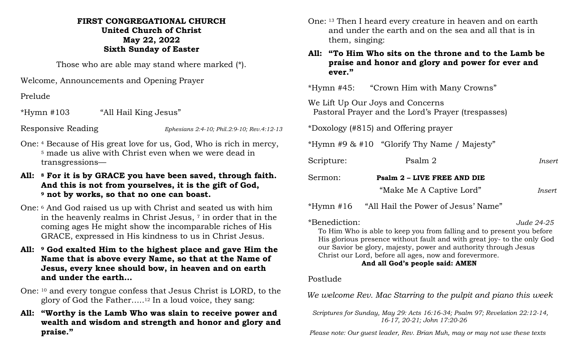## **FIRST CONGREGATIONAL CHURCH United Church of Christ May 22, 2022 Sixth Sunday of Easter**

Those who are able may stand where marked (\*).

Welcome, Announcements and Opening Prayer

Prelude

\*Hymn #103 "All Hail King Jesus"

Responsive Reading *Ephesians 2:4-10; Phil.2:9-10; Rev.4:12-13*

- One: <sup>4</sup> Because of His great love for us, God, Who is rich in mercy, <sup>5</sup> made us alive with Christ even when we were dead in transgressions—
- **All: <sup>8</sup> For it is by GRACE you have been saved, through faith. And this is not from yourselves, it is the gift of God, <sup>9</sup> not by works, so that no one can boast.**
- One: <sup>6</sup> And God raised us up with Christ and seated us with him in the heavenly realms in Christ Jesus, <sup>7</sup> in order that in the coming ages He might show the incomparable riches of His GRACE, expressed in His kindness to us in Christ Jesus.
- **All: <sup>9</sup> God exalted Him to the highest place and gave Him the Name that is above every Name, so that at the Name of Jesus, every knee should bow, in heaven and on earth and under the earth…**
- One: <sup>10</sup> and every tongue confess that Jesus Christ is LORD, to the glory of God the Father…..<sup>12</sup> In a loud voice, they sang:
- **All: "Worthy is the Lamb Who was slain to receive power and wealth and wisdom and strength and honor and glory and praise."**
- One: <sup>13</sup> Then I heard every creature in heaven and on earth and under the earth and on the sea and all that is in them, singing:
- **All: "To Him Who sits on the throne and to the Lamb be praise and honor and glory and power for ever and ever."**

\*Hymn #45: "Crown Him with Many Crowns"

We Lift Up Our Joys and Concerns Pastoral Prayer and the Lord's Prayer (trespasses)

\*Doxology (#815) and Offering prayer

\*Hymn #9 & #10 "Glorify Thy Name / Majesty"

| Scripture: | Psalm 2                     | <i>Insert</i> |
|------------|-----------------------------|---------------|
| Sermon:    | Psalm 2 - LIVE FREE AND DIE |               |
|            | "Make Me A Captive Lord"    | Insert        |

\*Hymn #16 "All Hail the Power of Jesus' Name"

\*Benediction: *Jude 24-25*  To Him Who is able to keep you from falling and to present you before His glorious presence without fault and with great joy- to the only God our Savior be glory, majesty, power and authority through Jesus Christ our Lord, before all ages, now and forevermore.

# **And all God's people said: AMEN**

## Postlude

 *We welcome Rev. Mac Starring to the pulpit and piano this week*

 *Scriptures for Sunday, May 29: Acts 16:16-34; Psalm 97; Revelation 22:12-14, 16-17, 20-21; John 17:20-26*

 *Please note: Our guest leader, Rev. Brian Muh, may or may not use these texts*